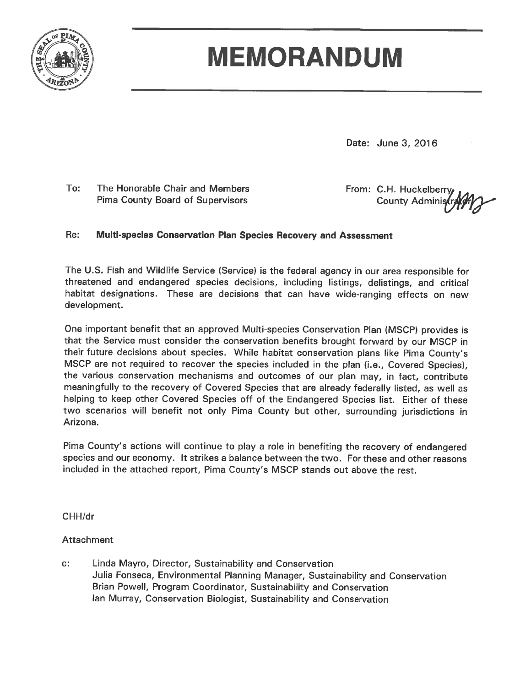

# **MEMORANDUM**

Date: June 3, 2016

To: The Honorable Chair and Members **Pima County Board of Supervisors** 

From: C.H. Huckelberry County Administ

#### Re: Multi-species Conservation Plan Species Recovery and Assessment

The U.S. Fish and Wildlife Service (Service) is the federal agency in our area responsible for threatened and endangered species decisions, including listings, delistings, and critical habitat designations. These are decisions that can have wide-ranging effects on new development.

One important benefit that an approved Multi-species Conservation Plan (MSCP) provides is that the Service must consider the conservation benefits brought forward by our MSCP in their future decisions about species. While habitat conservation plans like Pima County's MSCP are not required to recover the species included in the plan (i.e., Covered Species), the various conservation mechanisms and outcomes of our plan may, in fact, contribute meaningfully to the recovery of Covered Species that are already federally listed, as well as helping to keep other Covered Species off of the Endangered Species list. Either of these two scenarios will benefit not only Pima County but other, surrounding jurisdictions in Arizona.

Pima County's actions will continue to play a role in benefiting the recovery of endangered species and our economy. It strikes a balance between the two. For these and other reasons included in the attached report, Pima County's MSCP stands out above the rest.

CHH/dr

# **Attachment**

Linda Mayro, Director, Sustainability and Conservation c: Julia Fonseca, Environmental Planning Manager, Sustainability and Conservation Brian Powell, Program Coordinator, Sustainability and Conservation lan Murray, Conservation Biologist, Sustainability and Conservation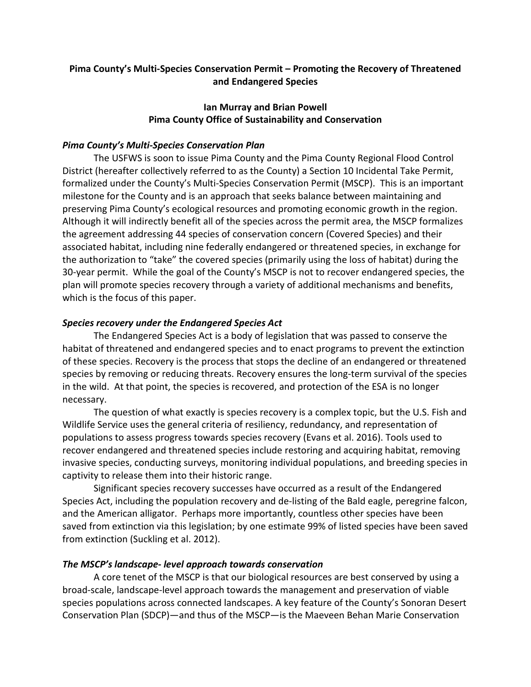# **Pima County's Multi-Species Conservation Permit – Promoting the Recovery of Threatened and Endangered Species**

# **Ian Murray and Brian Powell Pima County Office of Sustainability and Conservation**

# *Pima County's Multi-Species Conservation Plan*

The USFWS is soon to issue Pima County and the Pima County Regional Flood Control District (hereafter collectively referred to as the County) a Section 10 Incidental Take Permit, formalized under the County's Multi-Species Conservation Permit (MSCP). This is an important milestone for the County and is an approach that seeks balance between maintaining and preserving Pima County's ecological resources and promoting economic growth in the region. Although it will indirectly benefit all of the species across the permit area, the MSCP formalizes the agreement addressing 44 species of conservation concern (Covered Species) and their associated habitat, including nine federally endangered or threatened species, in exchange for the authorization to "take" the covered species (primarily using the loss of habitat) during the 30-year permit. While the goal of the County's MSCP is not to recover endangered species, the plan will promote species recovery through a variety of additional mechanisms and benefits, which is the focus of this paper.

# *Species recovery under the Endangered Species Act*

The Endangered Species Act is a body of legislation that was passed to conserve the habitat of threatened and endangered species and to enact programs to prevent the extinction of these species. Recovery is the process that stops the decline of an endangered or threatened species by removing or reducing threats. Recovery ensures the long-term survival of the species in the wild. At that point, the species is recovered, and protection of the ESA is no longer necessary.

The question of what exactly is species recovery is a complex topic, but the U.S. Fish and Wildlife Service uses the general criteria of resiliency, redundancy, and representation of populations to assess progress towards species recovery (Evans et al. 2016). Tools used to recover endangered and threatened species include restoring and acquiring habitat, removing invasive species, conducting surveys, monitoring individual populations, and breeding species in captivity to release them into their historic range.

Significant species recovery successes have occurred as a result of the Endangered Species Act, including the population recovery and de-listing of the Bald eagle, peregrine falcon, and the American alligator. Perhaps more importantly, countless other species have been saved from extinction via this legislation; by one estimate 99% of listed species have been saved from extinction (Suckling et al. 2012).

# *The MSCP's landscape- level approach towards conservation*

A core tenet of the MSCP is that our biological resources are best conserved by using a broad-scale, landscape-level approach towards the management and preservation of viable species populations across connected landscapes. A key feature of the County's Sonoran Desert Conservation Plan (SDCP)—and thus of the MSCP—is the Maeveen Behan Marie Conservation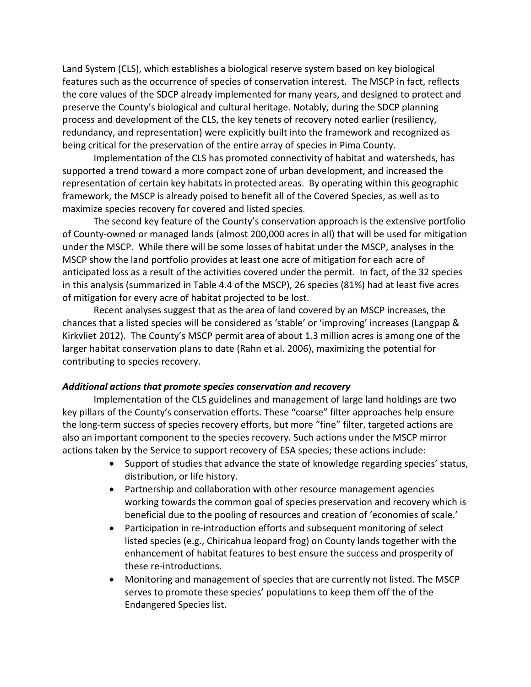Land System (CLS), which establishes a biological reserve system based on key biological features such as the occurrence of species of conservation interest. The MSCP in fact, reflects the core values of the SDCP already implemented for many years, and designed to protect and preserve the County's biological and cultural heritage. Notably, during the SDCP planning process and development of the CLS, the key tenets of recovery noted earlier (resiliency, redundancy, and representation) were explicitly built into the framework and recognized as being critical for the preservation of the entire array of species in Pima County.

Implementation of the CLS has promoted connectivity of habitat and watersheds, has supported a trend toward a more compact zone of urban development, and increased the representation of certain key habitats in protected areas. By operating within this geographic framework, the MSCP is already poised to benefit all of the Covered Species, as well as to maximize species recovery for covered and listed species.

The second key feature of the County's conservation approach is the extensive portfolio of County-owned or managed lands (almost 200,000 acres in all) that will be used for mitigation under the MSCP. While there will be some losses of habitat under the MSCP, analyses in the MSCP show the land portfolio provides at least one acre of mitigation for each acre of anticipated loss as a result of the activities covered under the permit. In fact, of the 32 species in this analysis (summarized in Table 4.4 of the MSCP), 26 species (81%) had at least five acres of mitigation for every acre of habitat projected to be lost.

Recent analyses suggest that as the area of land covered by an MSCP increases, the chances that a listed species will be considered as 'stable' or 'improving' increases (Langpap & Kirkvliet 2012). The County's MSCP permit area of about 1.3 million acres is among one of the larger habitat conservation plans to date (Rahn et al. 2006), maximizing the potential for contributing to species recovery.

#### *Additional actions that promote species conservation and recovery*

Implementation of the CLS guidelines and management of large land holdings are two key pillars of the County's conservation efforts. These "coarse" filter approaches help ensure the long-term success of species recovery efforts, but more "fine" filter, targeted actions are also an important component to the species recovery. Such actions under the MSCP mirror actions taken by the Service to support recovery of ESA species; these actions include:

- Support of studies that advance the state of knowledge regarding species' status, distribution, or life history.
- Partnership and collaboration with other resource management agencies working towards the common goal of species preservation and recovery which is beneficial due to the pooling of resources and creation of 'economies of scale.'
- Participation in re-introduction efforts and subsequent monitoring of select listed species (e.g., Chiricahua leopard frog) on County lands together with the enhancement of habitat features to best ensure the success and prosperity of these re-introductions.
- Monitoring and management of species that are currently not listed. The MSCP serves to promote these species' populations to keep them off the of the Endangered Species list.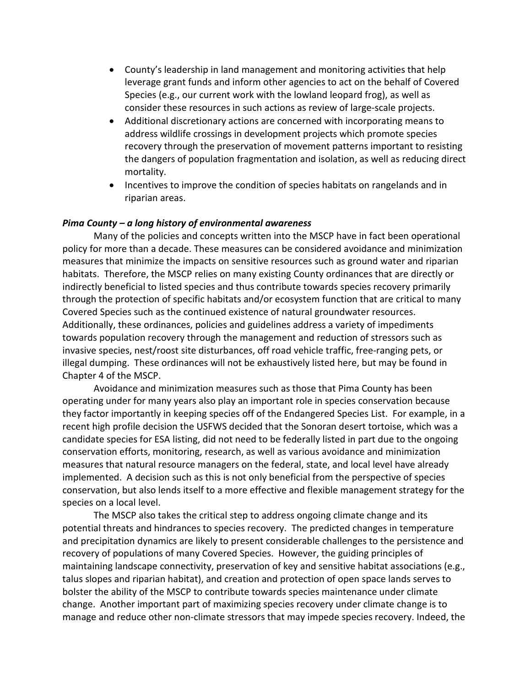- County's leadership in land management and monitoring activities that help leverage grant funds and inform other agencies to act on the behalf of Covered Species (e.g., our current work with the lowland leopard frog), as well as consider these resources in such actions as review of large-scale projects.
- Additional discretionary actions are concerned with incorporating means to address wildlife crossings in development projects which promote species recovery through the preservation of movement patterns important to resisting the dangers of population fragmentation and isolation, as well as reducing direct mortality.
- Incentives to improve the condition of species habitats on rangelands and in riparian areas.

## *Pima County – a long history of environmental awareness*

Many of the policies and concepts written into the MSCP have in fact been operational policy for more than a decade. These measures can be considered avoidance and minimization measures that minimize the impacts on sensitive resources such as ground water and riparian habitats. Therefore, the MSCP relies on many existing County ordinances that are directly or indirectly beneficial to listed species and thus contribute towards species recovery primarily through the protection of specific habitats and/or ecosystem function that are critical to many Covered Species such as the continued existence of natural groundwater resources. Additionally, these ordinances, policies and guidelines address a variety of impediments towards population recovery through the management and reduction of stressors such as invasive species, nest/roost site disturbances, off road vehicle traffic, free-ranging pets, or illegal dumping. These ordinances will not be exhaustively listed here, but may be found in Chapter 4 of the MSCP.

Avoidance and minimization measures such as those that Pima County has been operating under for many years also play an important role in species conservation because they factor importantly in keeping species off of the Endangered Species List. For example, in a recent high profile decision the USFWS decided that the Sonoran desert tortoise, which was a candidate species for ESA listing, did not need to be federally listed in part due to the ongoing conservation efforts, monitoring, research, as well as various avoidance and minimization measures that natural resource managers on the federal, state, and local level have already implemented. A decision such as this is not only beneficial from the perspective of species conservation, but also lends itself to a more effective and flexible management strategy for the species on a local level.

The MSCP also takes the critical step to address ongoing climate change and its potential threats and hindrances to species recovery. The predicted changes in temperature and precipitation dynamics are likely to present considerable challenges to the persistence and recovery of populations of many Covered Species. However, the guiding principles of maintaining landscape connectivity, preservation of key and sensitive habitat associations (e.g., talus slopes and riparian habitat), and creation and protection of open space lands serves to bolster the ability of the MSCP to contribute towards species maintenance under climate change. Another important part of maximizing species recovery under climate change is to manage and reduce other non-climate stressors that may impede species recovery. Indeed, the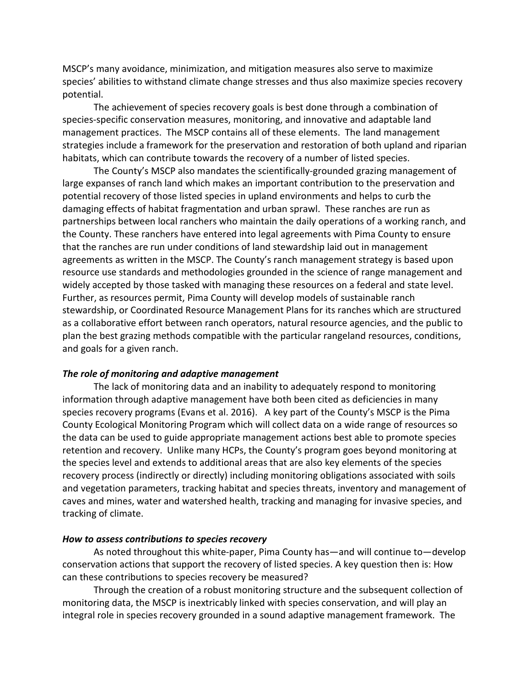MSCP's many avoidance, minimization, and mitigation measures also serve to maximize species' abilities to withstand climate change stresses and thus also maximize species recovery potential.

The achievement of species recovery goals is best done through a combination of species-specific conservation measures, monitoring, and innovative and adaptable land management practices. The MSCP contains all of these elements. The land management strategies include a framework for the preservation and restoration of both upland and riparian habitats, which can contribute towards the recovery of a number of listed species.

The County's MSCP also mandates the scientifically-grounded grazing management of large expanses of ranch land which makes an important contribution to the preservation and potential recovery of those listed species in upland environments and helps to curb the damaging effects of habitat fragmentation and urban sprawl. These ranches are run as partnerships between local ranchers who maintain the daily operations of a working ranch, and the County. These ranchers have entered into legal agreements with Pima County to ensure that the ranches are run under conditions of land stewardship laid out in management agreements as written in the MSCP. The County's ranch management strategy is based upon resource use standards and methodologies grounded in the science of range management and widely accepted by those tasked with managing these resources on a federal and state level. Further, as resources permit, Pima County will develop models of sustainable ranch stewardship, or Coordinated Resource Management Plans for its ranches which are structured as a collaborative effort between ranch operators, natural resource agencies, and the public to plan the best grazing methods compatible with the particular rangeland resources, conditions, and goals for a given ranch.

#### *The role of monitoring and adaptive management*

The lack of monitoring data and an inability to adequately respond to monitoring information through adaptive management have both been cited as deficiencies in many species recovery programs (Evans et al. 2016). A key part of the County's MSCP is the Pima County Ecological Monitoring Program which will collect data on a wide range of resources so the data can be used to guide appropriate management actions best able to promote species retention and recovery. Unlike many HCPs, the County's program goes beyond monitoring at the species level and extends to additional areas that are also key elements of the species recovery process (indirectly or directly) including monitoring obligations associated with soils and vegetation parameters, tracking habitat and species threats, inventory and management of caves and mines, water and watershed health, tracking and managing for invasive species, and tracking of climate.

#### *How to assess contributions to species recovery*

As noted throughout this white-paper, Pima County has—and will continue to—develop conservation actions that support the recovery of listed species. A key question then is: How can these contributions to species recovery be measured?

Through the creation of a robust monitoring structure and the subsequent collection of monitoring data, the MSCP is inextricably linked with species conservation, and will play an integral role in species recovery grounded in a sound adaptive management framework. The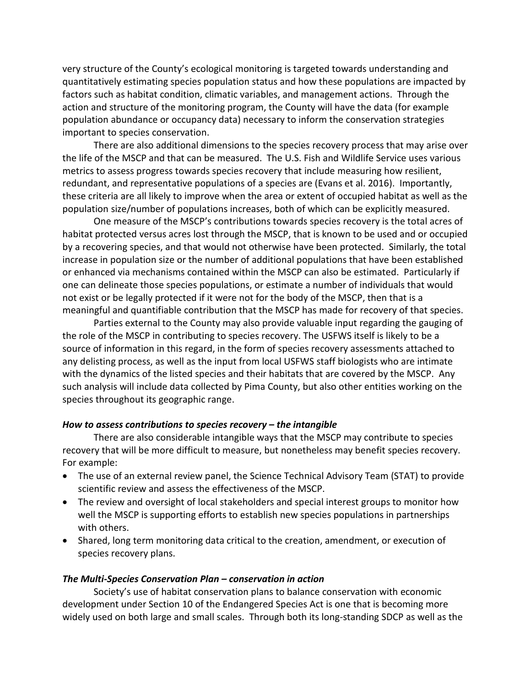very structure of the County's ecological monitoring is targeted towards understanding and quantitatively estimating species population status and how these populations are impacted by factors such as habitat condition, climatic variables, and management actions. Through the action and structure of the monitoring program, the County will have the data (for example population abundance or occupancy data) necessary to inform the conservation strategies important to species conservation.

There are also additional dimensions to the species recovery process that may arise over the life of the MSCP and that can be measured. The U.S. Fish and Wildlife Service uses various metrics to assess progress towards species recovery that include measuring how resilient, redundant, and representative populations of a species are (Evans et al. 2016). Importantly, these criteria are all likely to improve when the area or extent of occupied habitat as well as the population size/number of populations increases, both of which can be explicitly measured.

One measure of the MSCP's contributions towards species recovery is the total acres of habitat protected versus acres lost through the MSCP, that is known to be used and or occupied by a recovering species, and that would not otherwise have been protected. Similarly, the total increase in population size or the number of additional populations that have been established or enhanced via mechanisms contained within the MSCP can also be estimated. Particularly if one can delineate those species populations, or estimate a number of individuals that would not exist or be legally protected if it were not for the body of the MSCP, then that is a meaningful and quantifiable contribution that the MSCP has made for recovery of that species.

Parties external to the County may also provide valuable input regarding the gauging of the role of the MSCP in contributing to species recovery. The USFWS itself is likely to be a source of information in this regard, in the form of species recovery assessments attached to any delisting process, as well as the input from local USFWS staff biologists who are intimate with the dynamics of the listed species and their habitats that are covered by the MSCP. Any such analysis will include data collected by Pima County, but also other entities working on the species throughout its geographic range.

### *How to assess contributions to species recovery – the intangible*

There are also considerable intangible ways that the MSCP may contribute to species recovery that will be more difficult to measure, but nonetheless may benefit species recovery. For example:

- The use of an external review panel, the Science Technical Advisory Team (STAT) to provide scientific review and assess the effectiveness of the MSCP.
- The review and oversight of local stakeholders and special interest groups to monitor how well the MSCP is supporting efforts to establish new species populations in partnerships with others.
- Shared, long term monitoring data critical to the creation, amendment, or execution of species recovery plans.

### *The Multi-Species Conservation Plan – conservation in action*

Society's use of habitat conservation plans to balance conservation with economic development under Section 10 of the Endangered Species Act is one that is becoming more widely used on both large and small scales. Through both its long-standing SDCP as well as the